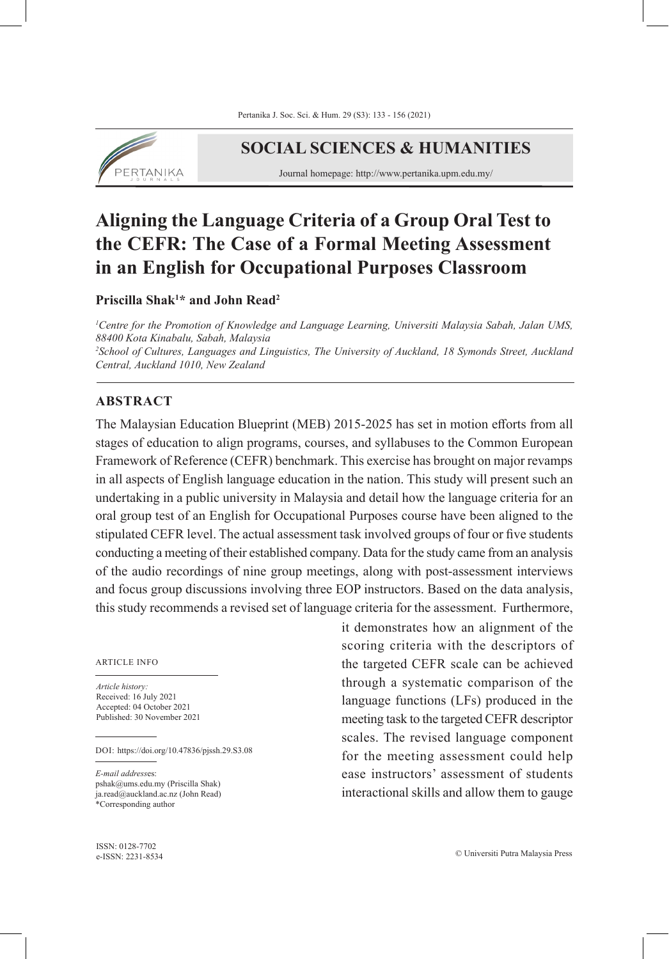

# **SOCIAL SCIENCES & HUMANITIES**

Journal homepage: http://www.pertanika.upm.edu.my/

# **Aligning the Language Criteria of a Group Oral Test to the CEFR: The Case of a Formal Meeting Assessment in an English for Occupational Purposes Classroom**

**Priscilla Shak1 \* and John Read2**

*1 Centre for the Promotion of Knowledge and Language Learning, Universiti Malaysia Sabah, Jalan UMS, 88400 Kota Kinabalu, Sabah, Malaysia 2 School of Cultures, Languages and Linguistics, The University of Auckland, 18 Symonds Street, Auckland Central, Auckland 1010, New Zealand*

# **ABSTRACT**

The Malaysian Education Blueprint (MEB) 2015-2025 has set in motion efforts from all stages of education to align programs, courses, and syllabuses to the Common European Framework of Reference (CEFR) benchmark. This exercise has brought on major revamps in all aspects of English language education in the nation. This study will present such an undertaking in a public university in Malaysia and detail how the language criteria for an oral group test of an English for Occupational Purposes course have been aligned to the stipulated CEFR level. The actual assessment task involved groups of four or five students conducting a meeting of their established company. Data for the study came from an analysis of the audio recordings of nine group meetings, along with post-assessment interviews and focus group discussions involving three EOP instructors. Based on the data analysis, this study recommends a revised set of language criteria for the assessment. Furthermore,

ARTICLE INFO

*Article history:* Received: 16 July 2021 Accepted: 04 October 2021 Published: 30 November 2021

DOI: https://doi.org/10.47836/pjssh.29.S3.08

*E-mail address*es: pshak@ums.edu.my (Priscilla Shak) ja.read@auckland.ac.nz (John Read) \*Corresponding author

ISSN: 0128-7702

it demonstrates how an alignment of the scoring criteria with the descriptors of the targeted CEFR scale can be achieved through a systematic comparison of the language functions (LFs) produced in the meeting task to the targeted CEFR descriptor scales. The revised language component for the meeting assessment could help ease instructors' assessment of students interactional skills and allow them to gauge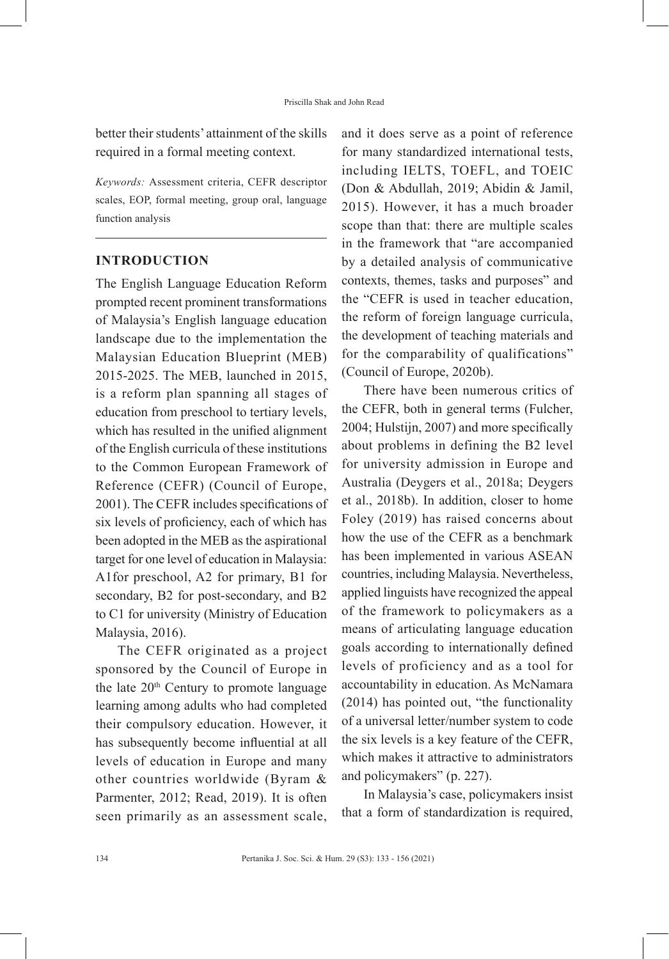better their students' attainment of the skills required in a formal meeting context.

*Keywords:* Assessment criteria, CEFR descriptor scales, EOP, formal meeting, group oral, language function analysis

# **INTRODUCTION**

The English Language Education Reform prompted recent prominent transformations of Malaysia's English language education landscape due to the implementation the Malaysian Education Blueprint (MEB) 2015-2025. The MEB, launched in 2015, is a reform plan spanning all stages of education from preschool to tertiary levels, which has resulted in the unified alignment of the English curricula of these institutions to the Common European Framework of Reference (CEFR) (Council of Europe, 2001). The CEFR includes specifications of six levels of proficiency, each of which has been adopted in the MEB as the aspirational target for one level of education in Malaysia: A1for preschool, A2 for primary, B1 for secondary, B2 for post-secondary, and B2 to C1 for university (Ministry of Education Malaysia, 2016).

The CEFR originated as a project sponsored by the Council of Europe in the late  $20<sup>th</sup>$  Century to promote language learning among adults who had completed their compulsory education. However, it has subsequently become influential at all levels of education in Europe and many other countries worldwide (Byram & Parmenter, 2012; Read, 2019). It is often seen primarily as an assessment scale, and it does serve as a point of reference for many standardized international tests, including IELTS, TOEFL, and TOEIC (Don & Abdullah, 2019; Abidin & Jamil, 2015). However, it has a much broader scope than that: there are multiple scales in the framework that "are accompanied by a detailed analysis of communicative contexts, themes, tasks and purposes" and the "CEFR is used in teacher education, the reform of foreign language curricula, the development of teaching materials and for the comparability of qualifications" (Council of Europe, 2020b).

There have been numerous critics of the CEFR, both in general terms (Fulcher, 2004; Hulstijn, 2007) and more specifically about problems in defining the B2 level for university admission in Europe and Australia (Deygers et al., 2018a; Deygers et al., 2018b). In addition, closer to home Foley (2019) has raised concerns about how the use of the CEFR as a benchmark has been implemented in various ASEAN countries, including Malaysia. Nevertheless, applied linguists have recognized the appeal of the framework to policymakers as a means of articulating language education goals according to internationally defined levels of proficiency and as a tool for accountability in education. As McNamara (2014) has pointed out, "the functionality of a universal letter/number system to code the six levels is a key feature of the CEFR, which makes it attractive to administrators and policymakers" (p. 227).

In Malaysia's case, policymakers insist that a form of standardization is required,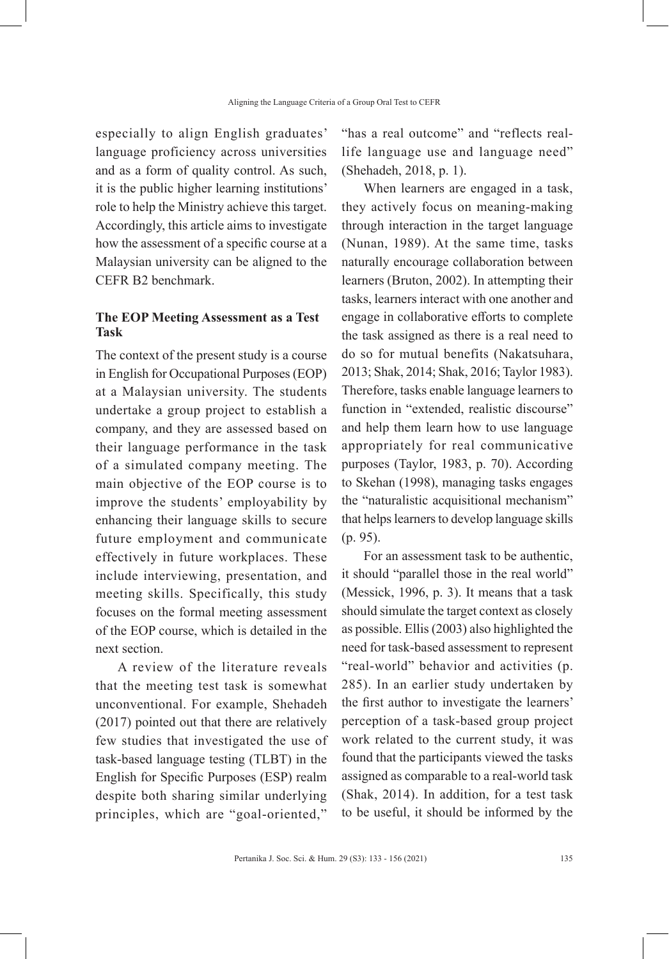especially to align English graduates' language proficiency across universities and as a form of quality control. As such, it is the public higher learning institutions' role to help the Ministry achieve this target. Accordingly, this article aims to investigate how the assessment of a specific course at a Malaysian university can be aligned to the CEFR B2 benchmark.

# **The EOP Meeting Assessment as a Test Task**

The context of the present study is a course in English for Occupational Purposes (EOP) at a Malaysian university. The students undertake a group project to establish a company, and they are assessed based on their language performance in the task of a simulated company meeting. The main objective of the EOP course is to improve the students' employability by enhancing their language skills to secure future employment and communicate effectively in future workplaces. These include interviewing, presentation, and meeting skills. Specifically, this study focuses on the formal meeting assessment of the EOP course, which is detailed in the next section.

A review of the literature reveals that the meeting test task is somewhat unconventional. For example, Shehadeh (2017) pointed out that there are relatively few studies that investigated the use of task-based language testing (TLBT) in the English for Specific Purposes (ESP) realm despite both sharing similar underlying principles, which are "goal-oriented,"

"has a real outcome" and "reflects reallife language use and language need" (Shehadeh, 2018, p. 1).

When learners are engaged in a task, they actively focus on meaning-making through interaction in the target language (Nunan, 1989). At the same time, tasks naturally encourage collaboration between learners (Bruton, 2002). In attempting their tasks, learners interact with one another and engage in collaborative efforts to complete the task assigned as there is a real need to do so for mutual benefits (Nakatsuhara, 2013; Shak, 2014; Shak, 2016; Taylor 1983). Therefore, tasks enable language learners to function in "extended, realistic discourse" and help them learn how to use language appropriately for real communicative purposes (Taylor, 1983, p. 70). According to Skehan (1998), managing tasks engages the "naturalistic acquisitional mechanism" that helps learners to develop language skills (p. 95).

For an assessment task to be authentic, it should "parallel those in the real world" (Messick, 1996, p. 3). It means that a task should simulate the target context as closely as possible. Ellis (2003) also highlighted the need for task-based assessment to represent "real-world" behavior and activities (p. 285). In an earlier study undertaken by the first author to investigate the learners' perception of a task-based group project work related to the current study, it was found that the participants viewed the tasks assigned as comparable to a real-world task (Shak, 2014). In addition, for a test task to be useful, it should be informed by the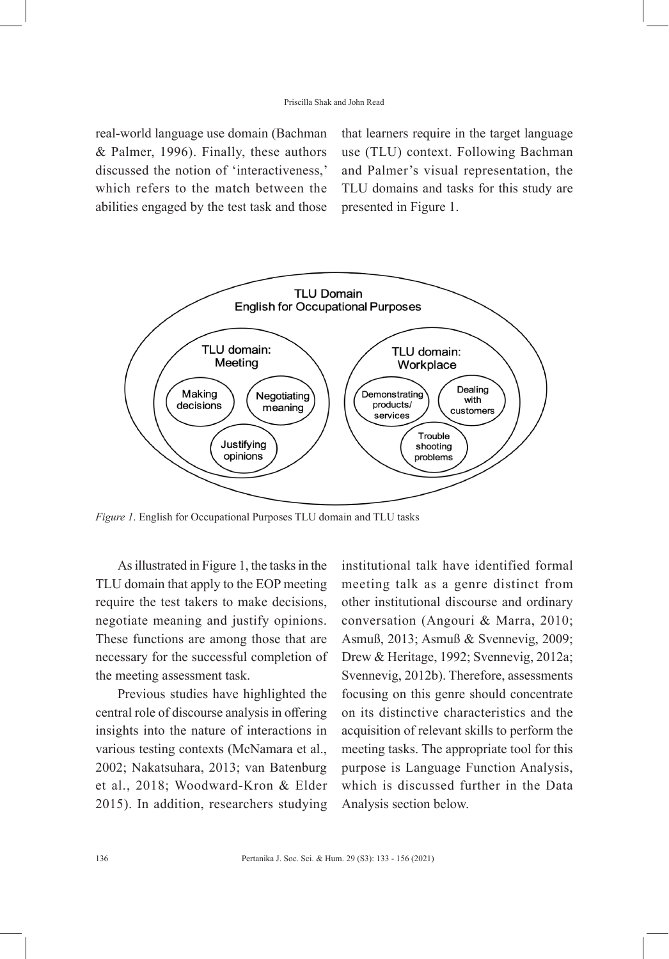real-world language use domain (Bachman & Palmer, 1996). Finally, these authors discussed the notion of 'interactiveness,' which refers to the match between the abilities engaged by the test task and those that learners require in the target language use (TLU) context. Following Bachman and Palmer's visual representation, the TLU domains and tasks for this study are presented in Figure 1.



*Figure 1*. English for Occupational Purposes TLU domain and TLU tasks

As illustrated in Figure 1, the tasks in the TLU domain that apply to the EOP meeting require the test takers to make decisions, negotiate meaning and justify opinions. These functions are among those that are necessary for the successful completion of the meeting assessment task.

Previous studies have highlighted the central role of discourse analysis in offering insights into the nature of interactions in various testing contexts (McNamara et al., 2002; Nakatsuhara, 2013; van Batenburg et al., 2018; Woodward-Kron & Elder 2015). In addition, researchers studying

institutional talk have identified formal meeting talk as a genre distinct from other institutional discourse and ordinary conversation (Angouri & Marra, 2010; Asmuß, 2013; Asmuß & Svennevig, 2009; Drew & Heritage, 1992; Svennevig, 2012a; Svennevig, 2012b). Therefore, assessments focusing on this genre should concentrate on its distinctive characteristics and the acquisition of relevant skills to perform the meeting tasks. The appropriate tool for this purpose is Language Function Analysis, which is discussed further in the Data Analysis section below.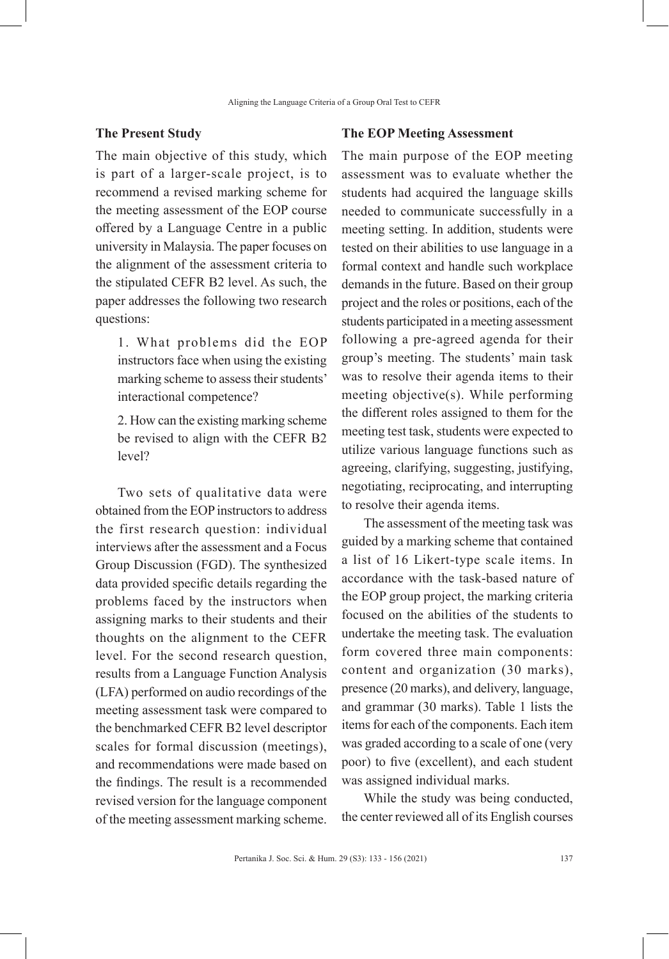#### **The Present Study**

The main objective of this study, which is part of a larger-scale project, is to recommend a revised marking scheme for the meeting assessment of the EOP course offered by a Language Centre in a public university in Malaysia. The paper focuses on the alignment of the assessment criteria to the stipulated CEFR B2 level. As such, the paper addresses the following two research questions:

1. What problems did the EOP instructors face when using the existing marking scheme to assess their students' interactional competence?

2. How can the existing marking scheme be revised to align with the CEFR B2 level?

Two sets of qualitative data were obtained from the EOP instructors to address the first research question: individual interviews after the assessment and a Focus Group Discussion (FGD). The synthesized data provided specific details regarding the problems faced by the instructors when assigning marks to their students and their thoughts on the alignment to the CEFR level. For the second research question, results from a Language Function Analysis (LFA) performed on audio recordings of the meeting assessment task were compared to the benchmarked CEFR B2 level descriptor scales for formal discussion (meetings), and recommendations were made based on the findings. The result is a recommended revised version for the language component of the meeting assessment marking scheme.

#### **The EOP Meeting Assessment**

The main purpose of the EOP meeting assessment was to evaluate whether the students had acquired the language skills needed to communicate successfully in a meeting setting. In addition, students were tested on their abilities to use language in a formal context and handle such workplace demands in the future. Based on their group project and the roles or positions, each of the students participated in a meeting assessment following a pre-agreed agenda for their group's meeting. The students' main task was to resolve their agenda items to their meeting objective(s). While performing the different roles assigned to them for the meeting test task, students were expected to utilize various language functions such as agreeing, clarifying, suggesting, justifying, negotiating, reciprocating, and interrupting to resolve their agenda items.

The assessment of the meeting task was guided by a marking scheme that contained a list of 16 Likert-type scale items. In accordance with the task-based nature of the EOP group project, the marking criteria focused on the abilities of the students to undertake the meeting task. The evaluation form covered three main components: content and organization (30 marks), presence (20 marks), and delivery, language, and grammar (30 marks). Table 1 lists the items for each of the components. Each item was graded according to a scale of one (very poor) to five (excellent), and each student was assigned individual marks.

While the study was being conducted, the center reviewed all of its English courses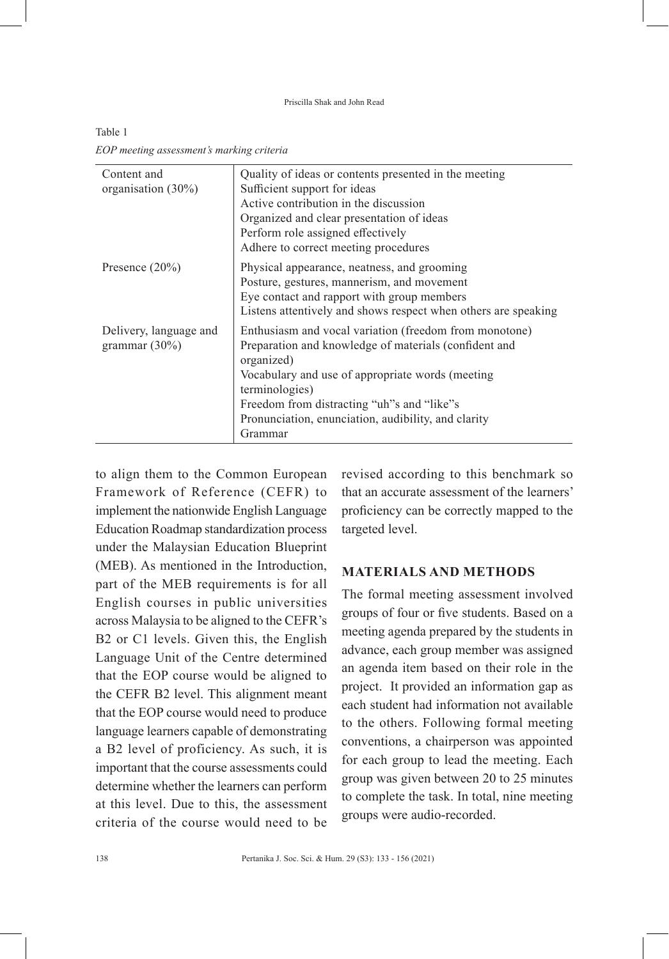Priscilla Shak and John Read

| Content and<br>organisation (30%)          | Quality of ideas or contents presented in the meeting<br>Sufficient support for ideas<br>Active contribution in the discussion<br>Organized and clear presentation of ideas<br>Perform role assigned effectively<br>Adhere to correct meeting procedures                                                            |
|--------------------------------------------|---------------------------------------------------------------------------------------------------------------------------------------------------------------------------------------------------------------------------------------------------------------------------------------------------------------------|
| Presence $(20\%)$                          | Physical appearance, neatness, and grooming<br>Posture, gestures, mannerism, and movement<br>Eye contact and rapport with group members<br>Listens attentively and shows respect when others are speaking                                                                                                           |
| Delivery, language and<br>grammar $(30\%)$ | Enthusiasm and vocal variation (freedom from monotone)<br>Preparation and knowledge of materials (confident and<br>organized)<br>Vocabulary and use of appropriate words (meeting<br>terminologies)<br>Freedom from distracting "uh"s and "like"s<br>Pronunciation, enunciation, audibility, and clarity<br>Grammar |

Table 1 *EOP meeting assessment's marking criteria*

to align them to the Common European Framework of Reference (CEFR) to implement the nationwide English Language Education Roadmap standardization process under the Malaysian Education Blueprint (MEB). As mentioned in the Introduction, part of the MEB requirements is for all English courses in public universities across Malaysia to be aligned to the CEFR's B2 or C1 levels. Given this, the English Language Unit of the Centre determined that the EOP course would be aligned to the CEFR B2 level. This alignment meant that the EOP course would need to produce language learners capable of demonstrating a B2 level of proficiency. As such, it is important that the course assessments could determine whether the learners can perform at this level. Due to this, the assessment criteria of the course would need to be

revised according to this benchmark so that an accurate assessment of the learners' proficiency can be correctly mapped to the targeted level.

### **MATERIALS AND METHODS**

The formal meeting assessment involved groups of four or five students. Based on a meeting agenda prepared by the students in advance, each group member was assigned an agenda item based on their role in the project. It provided an information gap as each student had information not available to the others. Following formal meeting conventions, a chairperson was appointed for each group to lead the meeting. Each group was given between 20 to 25 minutes to complete the task. In total, nine meeting groups were audio-recorded.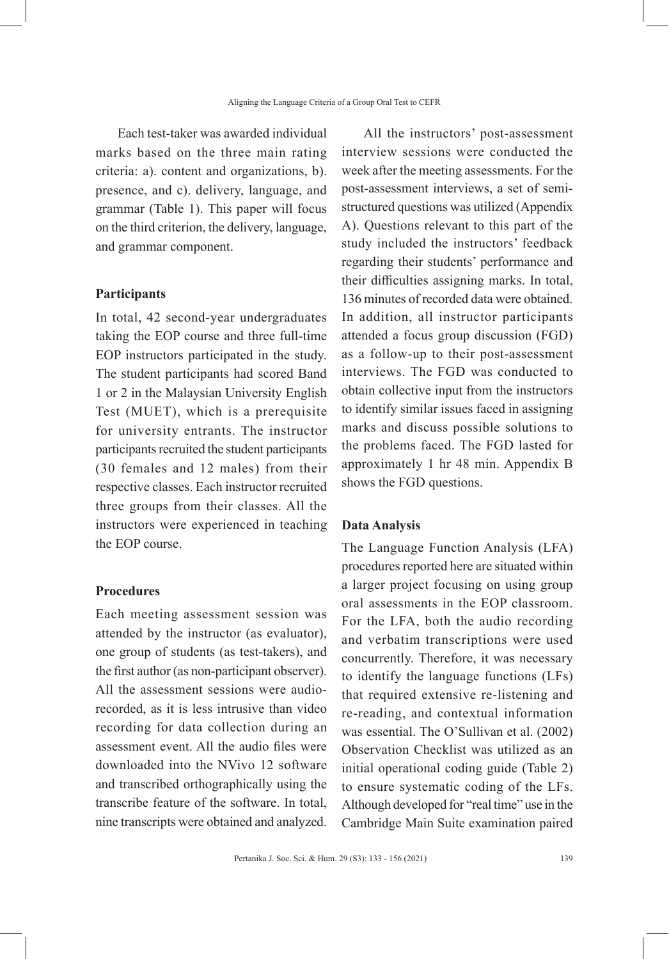Each test-taker was awarded individual marks based on the three main rating criteria: a). content and organizations, b). presence, and c). delivery, language, and grammar (Table 1). This paper will focus on the third criterion, the delivery, language, and grammar component.

#### **Participants**

In total, 42 second-year undergraduates taking the EOP course and three full-time EOP instructors participated in the study. The student participants had scored Band 1 or 2 in the Malaysian University English Test (MUET), which is a prerequisite for university entrants. The instructor participants recruited the student participants (30 females and 12 males) from their respective classes. Each instructor recruited three groups from their classes. All the instructors were experienced in teaching the EOP course.

#### **Procedures**

Each meeting assessment session was attended by the instructor (as evaluator), one group of students (as test-takers), and the first author (as non-participant observer). All the assessment sessions were audiorecorded, as it is less intrusive than video recording for data collection during an assessment event. All the audio files were downloaded into the NVivo 12 software and transcribed orthographically using the transcribe feature of the software. In total, nine transcripts were obtained and analyzed.

All the instructors' post-assessment interview sessions were conducted the week after the meeting assessments. For the post-assessment interviews, a set of semistructured questions was utilized (Appendix A). Questions relevant to this part of the study included the instructors' feedback regarding their students' performance and their difficulties assigning marks. In total, 136 minutes of recorded data were obtained. In addition, all instructor participants attended a focus group discussion (FGD) as a follow-up to their post-assessment interviews. The FGD was conducted to obtain collective input from the instructors to identify similar issues faced in assigning marks and discuss possible solutions to the problems faced. The FGD lasted for approximately 1 hr 48 min. Appendix B shows the FGD questions.

# **Data Analysis**

The Language Function Analysis (LFA) procedures reported here are situated within a larger project focusing on using group oral assessments in the EOP classroom. For the LFA, both the audio recording and verbatim transcriptions were used concurrently. Therefore, it was necessary to identify the language functions (LFs) that required extensive re-listening and re-reading, and contextual information was essential. The O'Sullivan et al. (2002) Observation Checklist was utilized as an initial operational coding guide (Table 2) to ensure systematic coding of the LFs. Although developed for "real time" use in the Cambridge Main Suite examination paired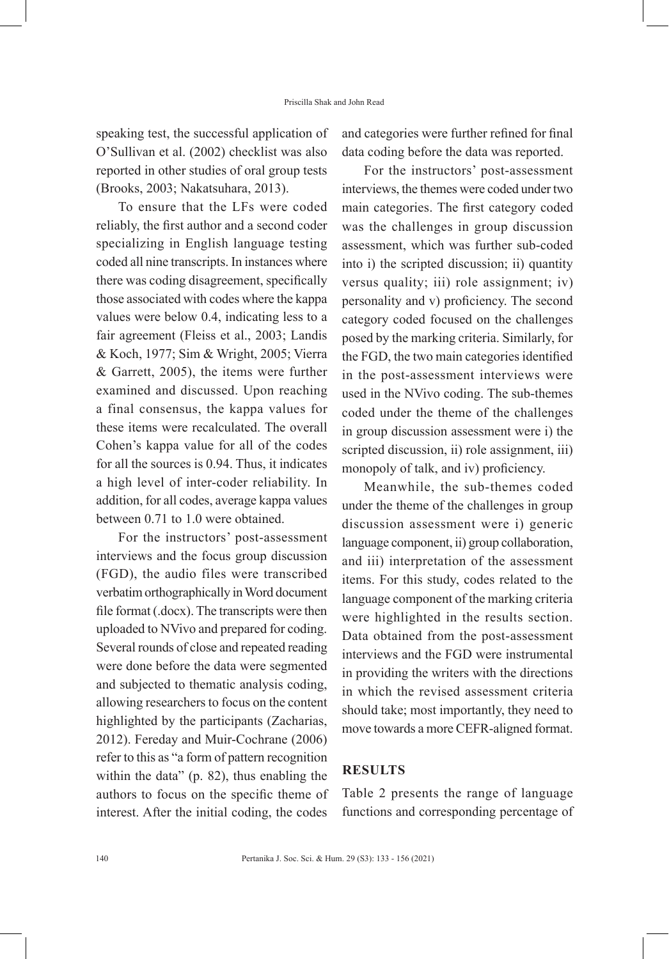speaking test, the successful application of O'Sullivan et al. (2002) checklist was also reported in other studies of oral group tests (Brooks, 2003; Nakatsuhara, 2013).

To ensure that the LFs were coded reliably, the first author and a second coder specializing in English language testing coded all nine transcripts. In instances where there was coding disagreement, specifically those associated with codes where the kappa values were below 0.4, indicating less to a fair agreement (Fleiss et al., 2003; Landis & Koch, 1977; Sim & Wright, 2005; Vierra & Garrett, 2005), the items were further examined and discussed. Upon reaching a final consensus, the kappa values for these items were recalculated. The overall Cohen's kappa value for all of the codes for all the sources is 0.94. Thus, it indicates a high level of inter-coder reliability. In addition, for all codes, average kappa values between 0.71 to 1.0 were obtained.

For the instructors' post-assessment interviews and the focus group discussion (FGD), the audio files were transcribed verbatim orthographically in Word document file format (.docx). The transcripts were then uploaded to NVivo and prepared for coding. Several rounds of close and repeated reading were done before the data were segmented and subjected to thematic analysis coding, allowing researchers to focus on the content highlighted by the participants (Zacharias, 2012). Fereday and Muir-Cochrane (2006) refer to this as "a form of pattern recognition within the data" (p. 82), thus enabling the authors to focus on the specific theme of interest. After the initial coding, the codes

and categories were further refined for final data coding before the data was reported.

For the instructors' post-assessment interviews, the themes were coded under two main categories. The first category coded was the challenges in group discussion assessment, which was further sub-coded into i) the scripted discussion; ii) quantity versus quality; iii) role assignment; iv) personality and v) proficiency. The second category coded focused on the challenges posed by the marking criteria. Similarly, for the FGD, the two main categories identified in the post-assessment interviews were used in the NVivo coding. The sub-themes coded under the theme of the challenges in group discussion assessment were i) the scripted discussion, ii) role assignment, iii) monopoly of talk, and iv) proficiency.

Meanwhile, the sub-themes coded under the theme of the challenges in group discussion assessment were i) generic language component, ii) group collaboration, and iii) interpretation of the assessment items. For this study, codes related to the language component of the marking criteria were highlighted in the results section. Data obtained from the post-assessment interviews and the FGD were instrumental in providing the writers with the directions in which the revised assessment criteria should take; most importantly, they need to move towards a more CEFR-aligned format.

### **RESULTS**

Table 2 presents the range of language functions and corresponding percentage of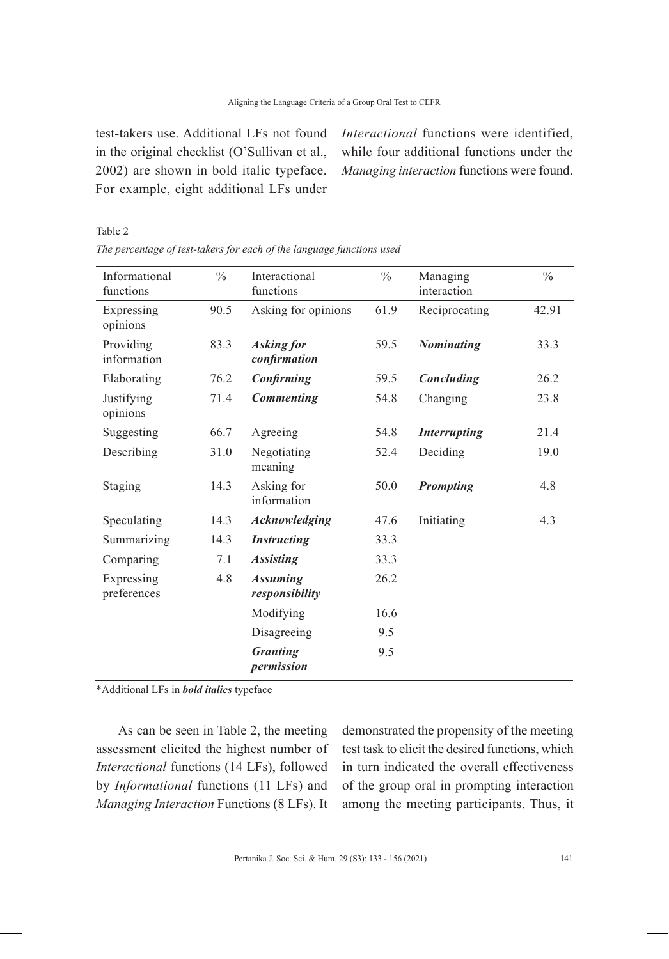test-takers use. Additional LFs not found in the original checklist (O'Sullivan et al., 2002) are shown in bold italic typeface. For example, eight additional LFs under

Table 2

*Interactional* functions were identified, while four additional functions under the *Managing interaction* functions were found.

| Informational<br>functions | $\frac{0}{0}$ | Interactional<br>functions        | $\frac{0}{0}$ | Managing<br>interaction | $\frac{0}{0}$ |
|----------------------------|---------------|-----------------------------------|---------------|-------------------------|---------------|
| Expressing<br>opinions     | 90.5          | Asking for opinions               | 61.9          | Reciprocating           | 42.91         |
| Providing<br>information   | 83.3          | <b>Asking for</b><br>confirmation | 59.5          | <b>Nominating</b>       | 33.3          |
| Elaborating                | 76.2          | Confirming                        | 59.5          | Concluding              | 26.2          |
| Justifying<br>opinions     | 71.4          | <b>Commenting</b>                 | 54.8          | Changing                | 23.8          |
| Suggesting                 | 66.7          | Agreeing                          | 54.8          | <b>Interrupting</b>     | 21.4          |
| Describing                 | 31.0          | Negotiating<br>meaning            | 52.4          | Deciding                | 19.0          |
| Staging                    | 14.3          | Asking for<br>information         | 50.0          | <b>Prompting</b>        | 4.8           |
| Speculating                | 14.3          | <b>Acknowledging</b>              | 47.6          | Initiating              | 4.3           |
| Summarizing                | 14.3          | <b>Instructing</b>                | 33.3          |                         |               |
| Comparing                  | 7.1           | <b>Assisting</b>                  | 33.3          |                         |               |
| Expressing<br>preferences  | 4.8           | <b>Assuming</b><br>responsibility | 26.2          |                         |               |
|                            |               | Modifying                         | 16.6          |                         |               |
|                            |               | Disagreeing                       | 9.5           |                         |               |
|                            |               | <b>Granting</b><br>permission     | 9.5           |                         |               |
|                            |               |                                   |               |                         |               |

*The percentage of test-takers for each of the language functions used*

\*Additional LFs in *bold italics* typeface

As can be seen in Table 2, the meeting assessment elicited the highest number of *Interactional* functions (14 LFs), followed by *Informational* functions (11 LFs) and *Managing Interaction* Functions (8 LFs). It demonstrated the propensity of the meeting test task to elicit the desired functions, which in turn indicated the overall effectiveness of the group oral in prompting interaction among the meeting participants. Thus, it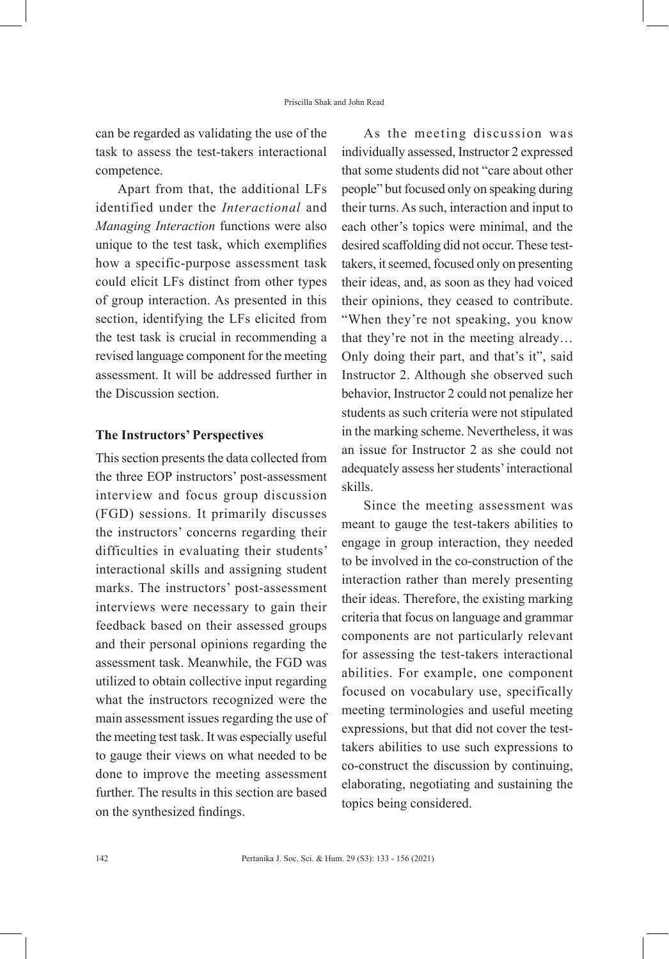can be regarded as validating the use of the task to assess the test-takers interactional competence.

Apart from that, the additional LFs identified under the *Interactional* and *Managing Interaction* functions were also unique to the test task, which exemplifies how a specific-purpose assessment task could elicit LFs distinct from other types of group interaction. As presented in this section, identifying the LFs elicited from the test task is crucial in recommending a revised language component for the meeting assessment. It will be addressed further in the Discussion section.

### **The Instructors' Perspectives**

This section presents the data collected from the three EOP instructors' post-assessment interview and focus group discussion (FGD) sessions. It primarily discusses the instructors' concerns regarding their difficulties in evaluating their students' interactional skills and assigning student marks. The instructors' post-assessment interviews were necessary to gain their feedback based on their assessed groups and their personal opinions regarding the assessment task. Meanwhile, the FGD was utilized to obtain collective input regarding what the instructors recognized were the main assessment issues regarding the use of the meeting test task. It was especially useful to gauge their views on what needed to be done to improve the meeting assessment further. The results in this section are based on the synthesized findings.

As the meeting discussion was individually assessed, Instructor 2 expressed that some students did not "care about other people" but focused only on speaking during their turns. As such, interaction and input to each other's topics were minimal, and the desired scaffolding did not occur. These testtakers, it seemed, focused only on presenting their ideas, and, as soon as they had voiced their opinions, they ceased to contribute. "When they're not speaking, you know that they're not in the meeting already… Only doing their part, and that's it", said Instructor 2. Although she observed such behavior, Instructor 2 could not penalize her students as such criteria were not stipulated in the marking scheme. Nevertheless, it was an issue for Instructor 2 as she could not adequately assess her students' interactional skills.

Since the meeting assessment was meant to gauge the test-takers abilities to engage in group interaction, they needed to be involved in the co-construction of the interaction rather than merely presenting their ideas. Therefore, the existing marking criteria that focus on language and grammar components are not particularly relevant for assessing the test-takers interactional abilities. For example, one component focused on vocabulary use, specifically meeting terminologies and useful meeting expressions, but that did not cover the testtakers abilities to use such expressions to co-construct the discussion by continuing, elaborating, negotiating and sustaining the topics being considered.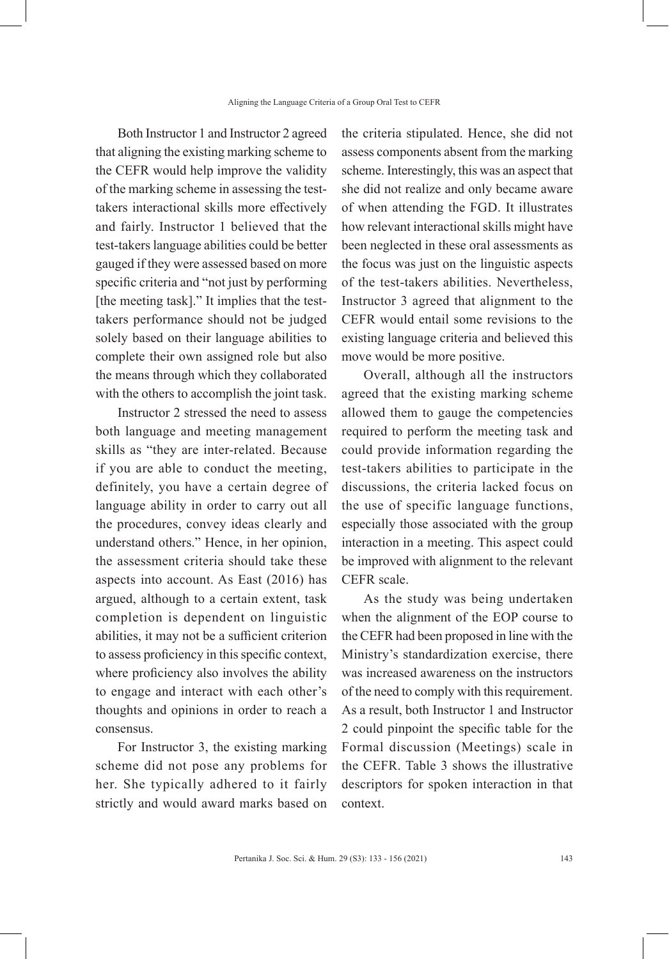Both Instructor 1 and Instructor 2 agreed that aligning the existing marking scheme to the CEFR would help improve the validity of the marking scheme in assessing the testtakers interactional skills more effectively and fairly. Instructor 1 believed that the test-takers language abilities could be better gauged if they were assessed based on more specific criteria and "not just by performing [the meeting task]." It implies that the testtakers performance should not be judged solely based on their language abilities to complete their own assigned role but also the means through which they collaborated with the others to accomplish the joint task.

Instructor 2 stressed the need to assess both language and meeting management skills as "they are inter-related. Because if you are able to conduct the meeting, definitely, you have a certain degree of language ability in order to carry out all the procedures, convey ideas clearly and understand others." Hence, in her opinion, the assessment criteria should take these aspects into account. As East (2016) has argued, although to a certain extent, task completion is dependent on linguistic abilities, it may not be a sufficient criterion to assess proficiency in this specific context, where proficiency also involves the ability to engage and interact with each other's thoughts and opinions in order to reach a consensus.

For Instructor 3, the existing marking scheme did not pose any problems for her. She typically adhered to it fairly strictly and would award marks based on the criteria stipulated. Hence, she did not assess components absent from the marking scheme. Interestingly, this was an aspect that she did not realize and only became aware of when attending the FGD. It illustrates how relevant interactional skills might have been neglected in these oral assessments as the focus was just on the linguistic aspects of the test-takers abilities. Nevertheless, Instructor 3 agreed that alignment to the CEFR would entail some revisions to the existing language criteria and believed this move would be more positive.

Overall, although all the instructors agreed that the existing marking scheme allowed them to gauge the competencies required to perform the meeting task and could provide information regarding the test-takers abilities to participate in the discussions, the criteria lacked focus on the use of specific language functions, especially those associated with the group interaction in a meeting. This aspect could be improved with alignment to the relevant CEFR scale.

As the study was being undertaken when the alignment of the EOP course to the CEFR had been proposed in line with the Ministry's standardization exercise, there was increased awareness on the instructors of the need to comply with this requirement. As a result, both Instructor 1 and Instructor 2 could pinpoint the specific table for the Formal discussion (Meetings) scale in the CEFR. Table 3 shows the illustrative descriptors for spoken interaction in that context.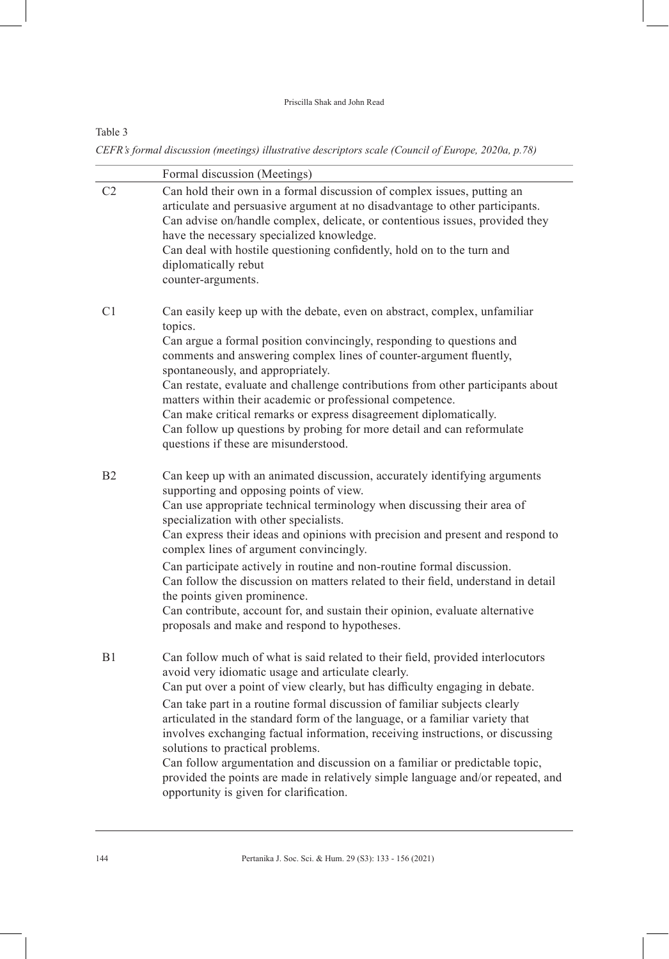#### Priscilla Shak and John Read

# Table 3

*CEFR's formal discussion (meetings) illustrative descriptors scale (Council of Europe, 2020a, p.78)*

|                | Formal discussion (Meetings)                                                                                                                                                                                                                                                                                                                                                                                                                                                                                                                                                                                                                                                                                         |
|----------------|----------------------------------------------------------------------------------------------------------------------------------------------------------------------------------------------------------------------------------------------------------------------------------------------------------------------------------------------------------------------------------------------------------------------------------------------------------------------------------------------------------------------------------------------------------------------------------------------------------------------------------------------------------------------------------------------------------------------|
| C <sub>2</sub> | Can hold their own in a formal discussion of complex issues, putting an<br>articulate and persuasive argument at no disadvantage to other participants.<br>Can advise on/handle complex, delicate, or contentious issues, provided they<br>have the necessary specialized knowledge.<br>Can deal with hostile questioning confidently, hold on to the turn and<br>diplomatically rebut<br>counter-arguments.                                                                                                                                                                                                                                                                                                         |
| C <sub>1</sub> | Can easily keep up with the debate, even on abstract, complex, unfamiliar<br>topics.<br>Can argue a formal position convincingly, responding to questions and<br>comments and answering complex lines of counter-argument fluently,<br>spontaneously, and appropriately.<br>Can restate, evaluate and challenge contributions from other participants about<br>matters within their academic or professional competence.<br>Can make critical remarks or express disagreement diplomatically.<br>Can follow up questions by probing for more detail and can reformulate<br>questions if these are misunderstood.                                                                                                     |
| B <sub>2</sub> | Can keep up with an animated discussion, accurately identifying arguments<br>supporting and opposing points of view.<br>Can use appropriate technical terminology when discussing their area of<br>specialization with other specialists.<br>Can express their ideas and opinions with precision and present and respond to<br>complex lines of argument convincingly.<br>Can participate actively in routine and non-routine formal discussion.<br>Can follow the discussion on matters related to their field, understand in detail<br>the points given prominence.<br>Can contribute, account for, and sustain their opinion, evaluate alternative<br>proposals and make and respond to hypotheses.               |
| B1             | Can follow much of what is said related to their field, provided interlocutors<br>avoid very idiomatic usage and articulate clearly.<br>Can put over a point of view clearly, but has difficulty engaging in debate.<br>Can take part in a routine formal discussion of familiar subjects clearly<br>articulated in the standard form of the language, or a familiar variety that<br>involves exchanging factual information, receiving instructions, or discussing<br>solutions to practical problems.<br>Can follow argumentation and discussion on a familiar or predictable topic,<br>provided the points are made in relatively simple language and/or repeated, and<br>opportunity is given for clarification. |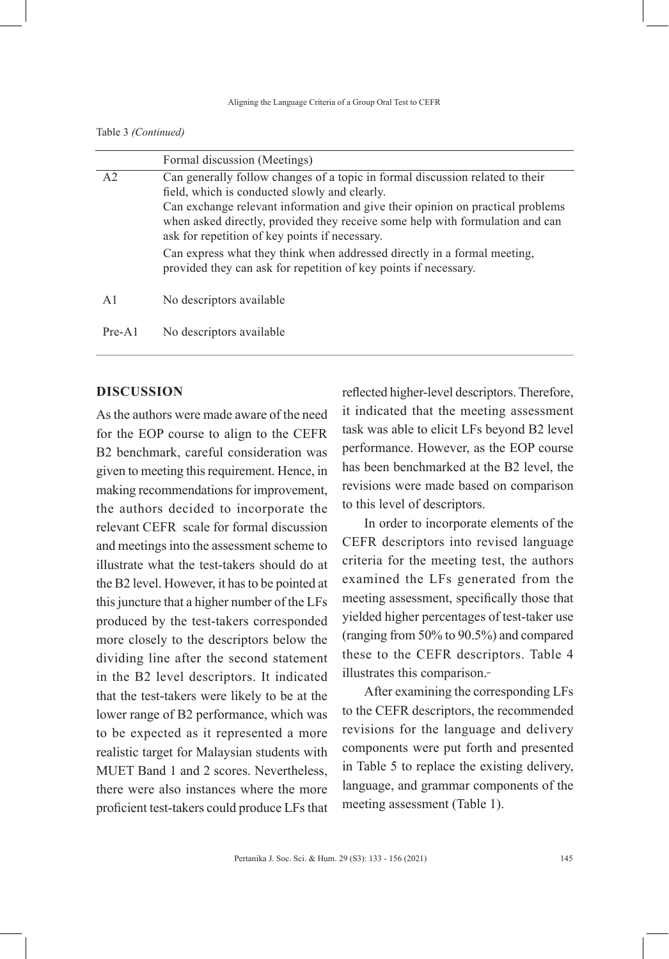Table 3 *(Continued)*

|          | Formal discussion (Meetings)                                                                                                                                                                                                                                                                                                                        |  |
|----------|-----------------------------------------------------------------------------------------------------------------------------------------------------------------------------------------------------------------------------------------------------------------------------------------------------------------------------------------------------|--|
| A2       | Can generally follow changes of a topic in formal discussion related to their<br>field, which is conducted slowly and clearly.<br>Can exchange relevant information and give their opinion on practical problems<br>when asked directly, provided they receive some help with formulation and can<br>ask for repetition of key points if necessary. |  |
|          | Can express what they think when addressed directly in a formal meeting,<br>provided they can ask for repetition of key points if necessary.                                                                                                                                                                                                        |  |
| A1       | No descriptors available                                                                                                                                                                                                                                                                                                                            |  |
| $Pre-A1$ | No descriptors available                                                                                                                                                                                                                                                                                                                            |  |

# **DISCUSSION**

As the authors were made aware of the need for the EOP course to align to the CEFR B2 benchmark, careful consideration was given to meeting this requirement. Hence, in making recommendations for improvement, the authors decided to incorporate the relevant CEFR scale for formal discussion and meetings into the assessment scheme to illustrate what the test-takers should do at the B2 level. However, it has to be pointed at this juncture that a higher number of the LFs produced by the test-takers corresponded more closely to the descriptors below the dividing line after the second statement in the B2 level descriptors. It indicated that the test-takers were likely to be at the lower range of B2 performance, which was to be expected as it represented a more realistic target for Malaysian students with MUET Band 1 and 2 scores. Nevertheless, there were also instances where the more proficient test-takers could produce LFs that

reflected higher-level descriptors. Therefore, it indicated that the meeting assessment task was able to elicit LFs beyond B2 level performance. However, as the EOP course has been benchmarked at the B2 level, the revisions were made based on comparison to this level of descriptors.

In order to incorporate elements of the CEFR descriptors into revised language criteria for the meeting test, the authors examined the LFs generated from the meeting assessment, specifically those that yielded higher percentages of test-taker use (ranging from 50% to 90.5%) and compared these to the CEFR descriptors. Table 4 illustrates this comparison.

After examining the corresponding LFs to the CEFR descriptors, the recommended revisions for the language and delivery components were put forth and presented in Table 5 to replace the existing delivery, language, and grammar components of the meeting assessment (Table 1).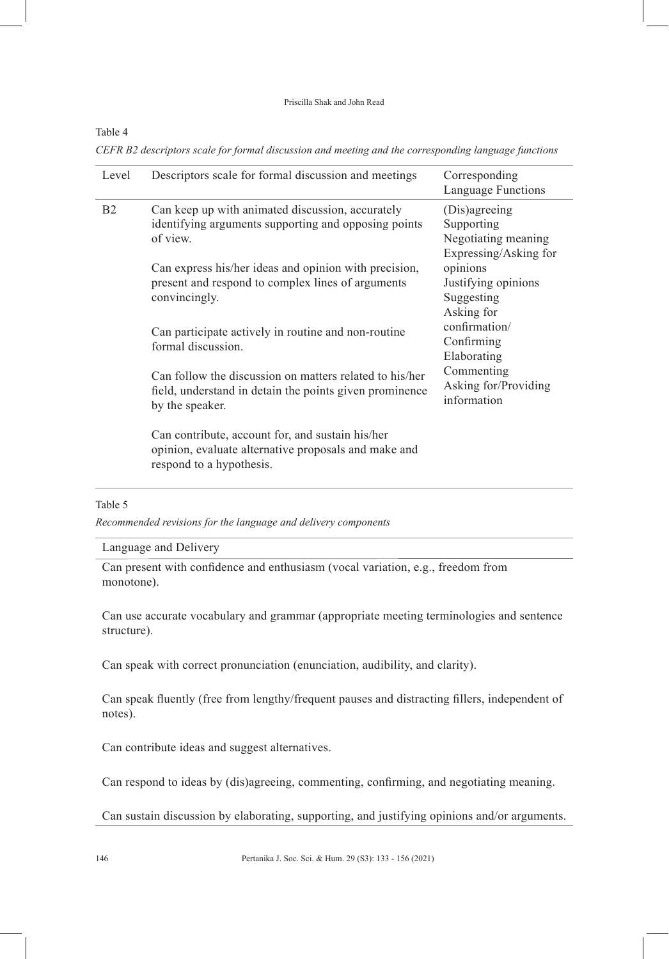#### Priscilla Shak and John Read

### Table 4

*CEFR B2 descriptors scale for formal discussion and meeting and the corresponding language functions*

| Level          | Descriptors scale for formal discussion and meetings                                                                                  | Corresponding<br>Language Functions                                         |
|----------------|---------------------------------------------------------------------------------------------------------------------------------------|-----------------------------------------------------------------------------|
| B <sub>2</sub> | Can keep up with animated discussion, accurately<br>identifying arguments supporting and opposing points<br>of view.                  | (Dis)agreeing<br>Supporting<br>Negotiating meaning<br>Expressing/Asking for |
|                | Can express his/her ideas and opinion with precision,<br>present and respond to complex lines of arguments<br>convincingly.           | opinions<br>Justifying opinions<br>Suggesting<br>Asking for                 |
|                | Can participate actively in routine and non-routine<br>formal discussion.                                                             | confirmation/<br>Confirming<br>Elaborating                                  |
|                | Can follow the discussion on matters related to his/her<br>field, understand in detain the points given prominence<br>by the speaker. | Commenting<br>Asking for/Providing<br>information                           |
|                | Can contribute, account for, and sustain his/her<br>opinion, evaluate alternative proposals and make and<br>respond to a hypothesis.  |                                                                             |
| Table 5        |                                                                                                                                       |                                                                             |

*Recommended revisions for the language and delivery components*

# Language and Delivery

Can present with confidence and enthusiasm (vocal variation, e.g., freedom from monotone).

Can use accurate vocabulary and grammar (appropriate meeting terminologies and sentence structure).

Can speak with correct pronunciation (enunciation, audibility, and clarity).

Can speak fluently (free from lengthy/frequent pauses and distracting fillers, independent of notes).

Can contribute ideas and suggest alternatives.

Can respond to ideas by (dis)agreeing, commenting, confirming, and negotiating meaning.

Can sustain discussion by elaborating, supporting, and justifying opinions and/or arguments.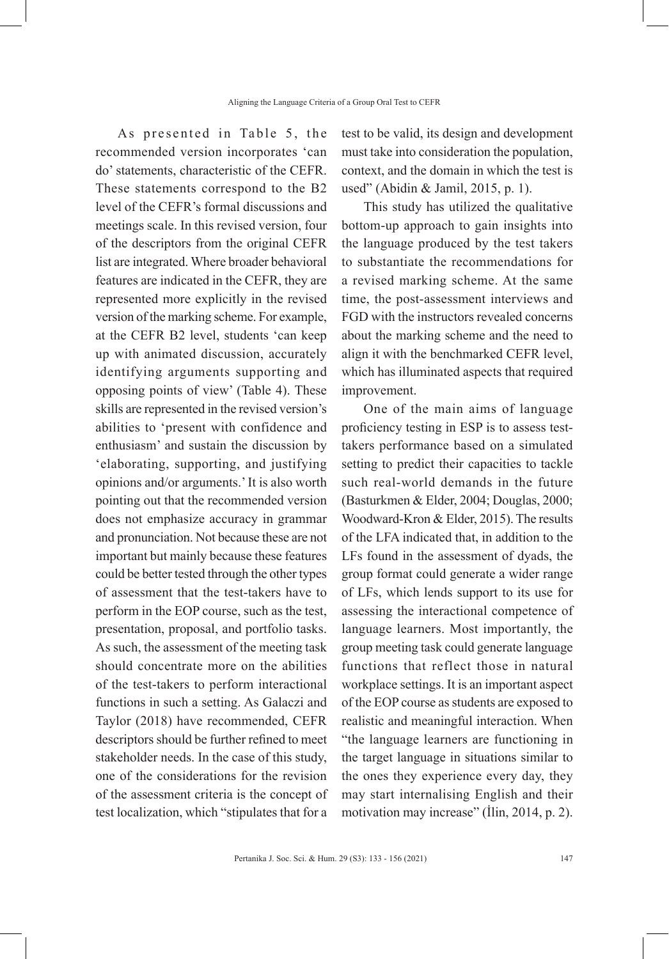As presented in Table 5, the recommended version incorporates 'can do' statements, characteristic of the CEFR. These statements correspond to the B2 level of the CEFR's formal discussions and meetings scale. In this revised version, four of the descriptors from the original CEFR list are integrated. Where broader behavioral features are indicated in the CEFR, they are represented more explicitly in the revised version of the marking scheme. For example, at the CEFR B2 level, students 'can keep up with animated discussion, accurately identifying arguments supporting and opposing points of view' (Table 4). These skills are represented in the revised version's abilities to 'present with confidence and enthusiasm' and sustain the discussion by 'elaborating, supporting, and justifying opinions and/or arguments.' It is also worth pointing out that the recommended version does not emphasize accuracy in grammar and pronunciation. Not because these are not important but mainly because these features could be better tested through the other types of assessment that the test-takers have to perform in the EOP course, such as the test, presentation, proposal, and portfolio tasks. As such, the assessment of the meeting task should concentrate more on the abilities of the test-takers to perform interactional functions in such a setting. As Galaczi and Taylor (2018) have recommended, CEFR descriptors should be further refined to meet stakeholder needs. In the case of this study, one of the considerations for the revision of the assessment criteria is the concept of test localization, which "stipulates that for a

test to be valid, its design and development must take into consideration the population, context, and the domain in which the test is used" (Abidin & Jamil, 2015, p. 1).

This study has utilized the qualitative bottom-up approach to gain insights into the language produced by the test takers to substantiate the recommendations for a revised marking scheme. At the same time, the post-assessment interviews and FGD with the instructors revealed concerns about the marking scheme and the need to align it with the benchmarked CEFR level, which has illuminated aspects that required improvement.

One of the main aims of language proficiency testing in ESP is to assess testtakers performance based on a simulated setting to predict their capacities to tackle such real-world demands in the future (Basturkmen & Elder, 2004; Douglas, 2000; Woodward-Kron & Elder, 2015). The results of the LFA indicated that, in addition to the LFs found in the assessment of dyads, the group format could generate a wider range of LFs, which lends support to its use for assessing the interactional competence of language learners. Most importantly, the group meeting task could generate language functions that reflect those in natural workplace settings. It is an important aspect of the EOP course as students are exposed to realistic and meaningful interaction. When "the language learners are functioning in the target language in situations similar to the ones they experience every day, they may start internalising English and their motivation may increase" (İlin, 2014, p. 2).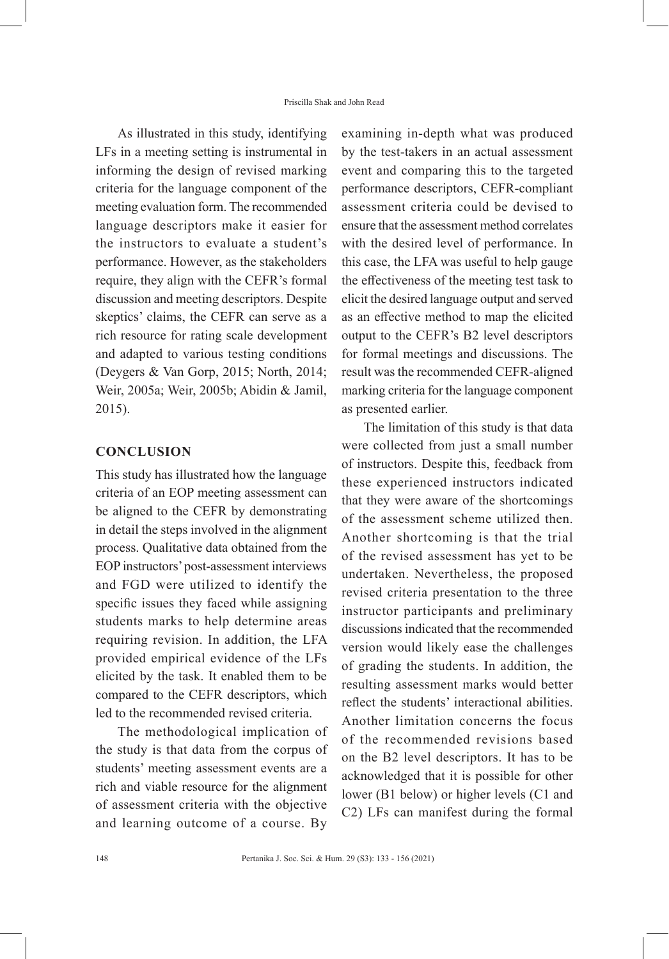As illustrated in this study, identifying LFs in a meeting setting is instrumental in informing the design of revised marking criteria for the language component of the meeting evaluation form. The recommended language descriptors make it easier for the instructors to evaluate a student's performance. However, as the stakeholders require, they align with the CEFR's formal discussion and meeting descriptors. Despite skeptics' claims, the CEFR can serve as a rich resource for rating scale development and adapted to various testing conditions (Deygers & Van Gorp, 2015; North, 2014; Weir, 2005a; Weir, 2005b; Abidin & Jamil, 2015).

# **CONCLUSION**

This study has illustrated how the language criteria of an EOP meeting assessment can be aligned to the CEFR by demonstrating in detail the steps involved in the alignment process. Qualitative data obtained from the EOP instructors' post-assessment interviews and FGD were utilized to identify the specific issues they faced while assigning students marks to help determine areas requiring revision. In addition, the LFA provided empirical evidence of the LFs elicited by the task. It enabled them to be compared to the CEFR descriptors, which led to the recommended revised criteria.

The methodological implication of the study is that data from the corpus of students' meeting assessment events are a rich and viable resource for the alignment of assessment criteria with the objective and learning outcome of a course. By

examining in-depth what was produced by the test-takers in an actual assessment event and comparing this to the targeted performance descriptors, CEFR-compliant assessment criteria could be devised to ensure that the assessment method correlates with the desired level of performance. In this case, the LFA was useful to help gauge the effectiveness of the meeting test task to elicit the desired language output and served as an effective method to map the elicited output to the CEFR's B2 level descriptors for formal meetings and discussions. The result was the recommended CEFR-aligned marking criteria for the language component as presented earlier.

The limitation of this study is that data were collected from just a small number of instructors. Despite this, feedback from these experienced instructors indicated that they were aware of the shortcomings of the assessment scheme utilized then. Another shortcoming is that the trial of the revised assessment has yet to be undertaken. Nevertheless, the proposed revised criteria presentation to the three instructor participants and preliminary discussions indicated that the recommended version would likely ease the challenges of grading the students. In addition, the resulting assessment marks would better reflect the students' interactional abilities. Another limitation concerns the focus of the recommended revisions based on the B2 level descriptors. It has to be acknowledged that it is possible for other lower (B1 below) or higher levels (C1 and C2) LFs can manifest during the formal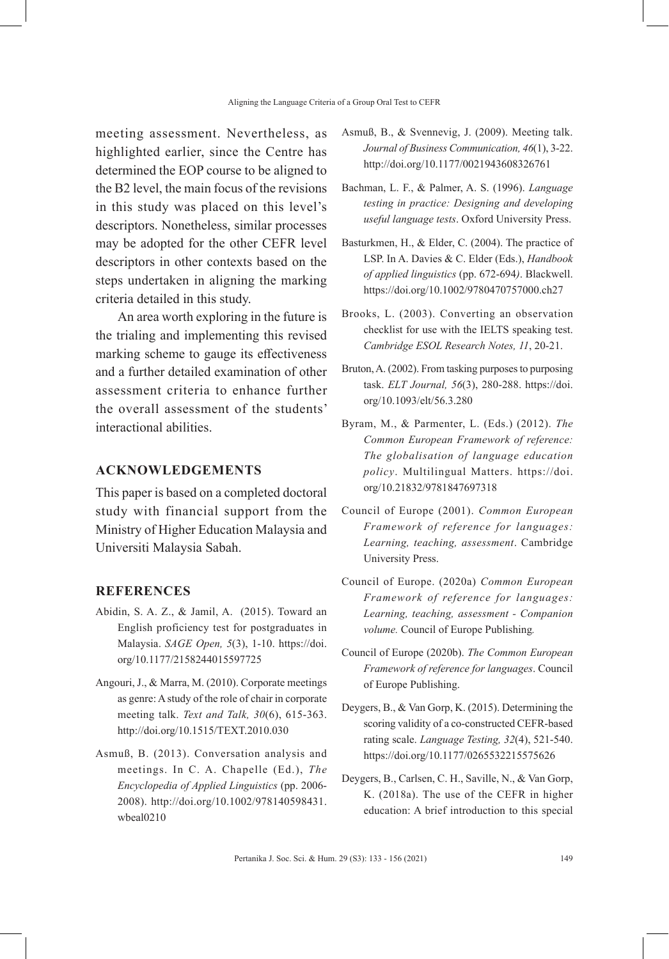meeting assessment. Nevertheless, as highlighted earlier, since the Centre has determined the EOP course to be aligned to the B2 level, the main focus of the revisions in this study was placed on this level's descriptors. Nonetheless, similar processes may be adopted for the other CEFR level descriptors in other contexts based on the steps undertaken in aligning the marking criteria detailed in this study.

An area worth exploring in the future is the trialing and implementing this revised marking scheme to gauge its effectiveness and a further detailed examination of other assessment criteria to enhance further the overall assessment of the students' interactional abilities.

### **ACKNOWLEDGEMENTS**

This paper is based on a completed doctoral study with financial support from the Ministry of Higher Education Malaysia and Universiti Malaysia Sabah.

#### **REFERENCES**

- Abidin, S. A. Z., & Jamil, A. (2015). Toward an English proficiency test for postgraduates in Malaysia. *SAGE Open, 5*(3), 1-10. https://doi. org/10.1177/2158244015597725
- Angouri, J., & Marra, M. (2010). Corporate meetings as genre: A study of the role of chair in corporate meeting talk. *Text and Talk, 30*(6), 615-363. http://doi.org/10.1515/TEXT.2010.030
- Asmuß, B. (2013). Conversation analysis and meetings. In C. A. Chapelle (Ed.), *The Encyclopedia of Applied Linguistics* (pp. 2006- 2008). http://doi.org/10.1002/978140598431. wbeal0210
- Asmuß, B., & Svennevig, J. (2009). Meeting talk. *Journal of Business Communication, 46*(1), 3-22. http://doi.org/10.1177/0021943608326761
- Bachman, L. F., & Palmer, A. S. (1996). *Language testing in practice: Designing and developing useful language tests*. Oxford University Press.
- Basturkmen, H., & Elder, C. (2004). The practice of LSP. In A. Davies & C. Elder (Eds.), *Handbook of applied linguistics* (pp. 672-694*)*. Blackwell. https://doi.org/10.1002/9780470757000.ch27
- Brooks, L. (2003). Converting an observation checklist for use with the IELTS speaking test. *Cambridge ESOL Research Notes, 11*, 20-21.
- Bruton, A. (2002). From tasking purposes to purposing task. *ELT Journal, 56*(3), 280-288. https://doi. org/10.1093/elt/56.3.280
- Byram, M., & Parmenter, L. (Eds.) (2012). *The Common European Framework of reference: The globalisation of language education policy*. Multilingual Matters. https://doi. org/10.21832/9781847697318
- Council of Europe (2001). *Common European Framework of reference for languages: Learning, teaching, assessment*. Cambridge University Press.
- Council of Europe. (2020a) *Common European Framework of reference for languages: Learning, teaching, assessment - Companion volume.* Council of Europe Publishing*.*
- Council of Europe (2020b). *The Common European Framework of reference for languages*. Council of Europe Publishing.
- Deygers, B., & Van Gorp, K. (2015). Determining the scoring validity of a co-constructed CEFR-based rating scale. *Language Testing, 32*(4), 521-540. https://doi.org/10.1177/0265532215575626
- Deygers, B., Carlsen, C. H., Saville, N., & Van Gorp, K. (2018a). The use of the CEFR in higher education: A brief introduction to this special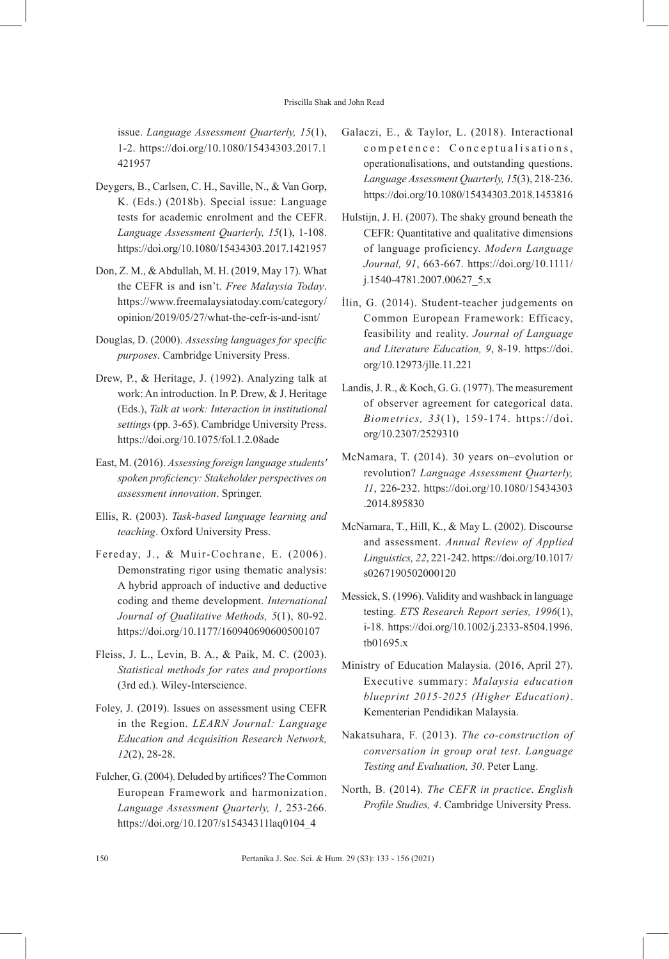issue. *Language Assessment Quarterly, 15*(1), 1-2. https://doi.org/10.1080/15434303.2017.1 421957

- Deygers, B., Carlsen, C. H., Saville, N., & Van Gorp, K. (Eds.) (2018b). Special issue: Language tests for academic enrolment and the CEFR. *Language Assessment Quarterly, 15*(1), 1-108. https://doi.org/10.1080/15434303.2017.1421957
- Don, Z. M., & Abdullah, M. H. (2019, May 17). What the CEFR is and isn't. *Free Malaysia Today*. https://www.freemalaysiatoday.com/category/ opinion/2019/05/27/what-the-cefr-is-and-isnt/
- Douglas, D. (2000). *Assessing languages for specific purposes*. Cambridge University Press.
- Drew, P., & Heritage, J. (1992). Analyzing talk at work: An introduction. In P. Drew, & J. Heritage (Eds.), *Talk at work: Interaction in institutional settings* (pp. 3-65). Cambridge University Press. https://doi.org/10.1075/fol.1.2.08ade
- East, M. (2016). *Assessing foreign language students' spoken proficiency: Stakeholder perspectives on assessment innovation*. Springer.
- Ellis, R. (2003). *Task-based language learning and teaching*. Oxford University Press.
- Fereday, J., & Muir-Cochrane, E. (2006). Demonstrating rigor using thematic analysis: A hybrid approach of inductive and deductive coding and theme development. *International Journal of Qualitative Methods, 5*(1), 80-92. https://doi.org/10.1177/160940690600500107
- Fleiss, J. L., Levin, B. A., & Paik, M. C. (2003). *Statistical methods for rates and proportions*  (3rd ed.). Wiley-Interscience.
- Foley, J. (2019). Issues on assessment using CEFR in the Region. *LEARN Journal: Language Education and Acquisition Research Network, 12*(2), 28-28.
- Fulcher, G. (2004). Deluded by artifices? The Common European Framework and harmonization. *Language Assessment Quarterly, 1,* 253-266. https://doi.org/10.1207/s15434311laq0104\_4
- Galaczi, E., & Taylor, L. (2018). Interactional competence: Conceptualisations, operationalisations, and outstanding questions. *Language Assessment Quarterly, 15*(3), 218-236. https://doi.org/10.1080/15434303.2018.1453816
- Hulstijn, J. H. (2007). The shaky ground beneath the CEFR: Quantitative and qualitative dimensions of language proficiency. *Modern Language Journal, 91*, 663-667. https://doi.org/10.1111/ j.1540-4781.2007.00627\_5.x
- İlin, G. (2014). Student-teacher judgements on Common European Framework: Efficacy, feasibility and reality. *Journal of Language and Literature Education, 9*, 8-19. https://doi. org/10.12973/jlle.11.221
- Landis, J. R., & Koch, G. G. (1977). The measurement of observer agreement for categorical data. *Biometrics, 33*(1), 159-174. https://doi. org/10.2307/2529310
- McNamara, T. (2014). 30 years on–evolution or revolution? *Language Assessment Quarterly, 11*, 226-232. https://doi.org/10.1080/15434303 .2014.895830
- McNamara, T., Hill, K., & May L. (2002). Discourse and assessment. *Annual Review of Applied Linguistics, 22*, 221-242. https://doi.org/10.1017/ s0267190502000120
- Messick, S. (1996). Validity and washback in language testing. *ETS Research Report series, 1996*(1), i-18. https://doi.org/10.1002/j.2333-8504.1996. tb01695.x
- Ministry of Education Malaysia. (2016, April 27). Executive summary: *Malaysia education blueprint 2015-2025 (Higher Education)*. Kementerian Pendidikan Malaysia.
- Nakatsuhara, F. (2013). *The co-construction of conversation in group oral test*. *Language Testing and Evaluation, 30*. Peter Lang.
- North, B. (2014). *The CEFR in practice*. *English Profile Studies, 4*. Cambridge University Press.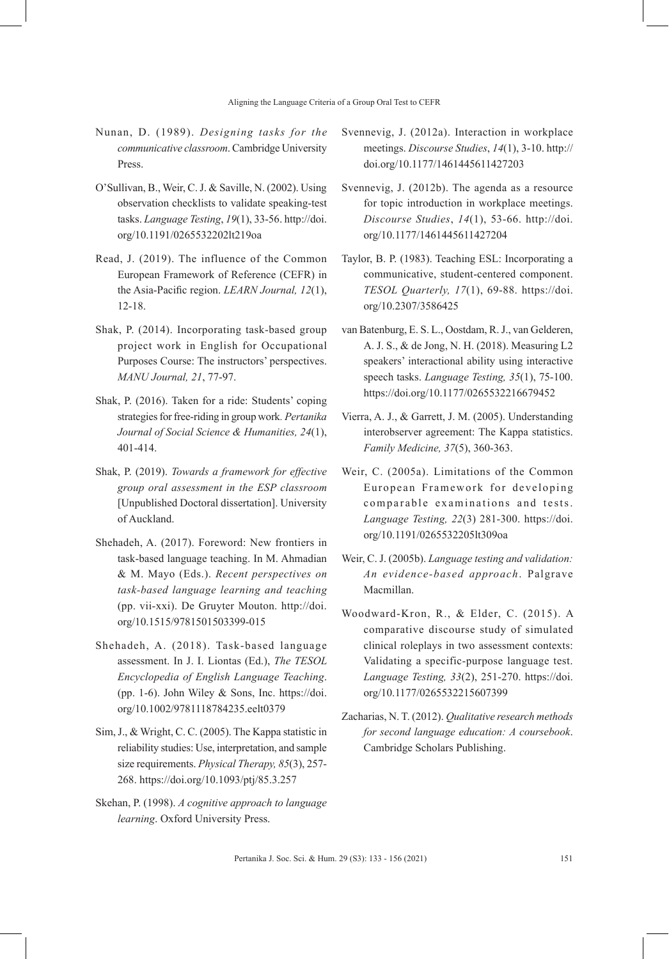- Nunan, D. (1989). *Designing tasks for the communicative classroom*. Cambridge University Press.
- O'Sullivan, B., Weir, C. J. & Saville, N. (2002). Using observation checklists to validate speaking-test tasks. *Language Testing*, *19*(1), 33-56. http://doi. org/10.1191/0265532202lt219oa
- Read, J. (2019). The influence of the Common European Framework of Reference (CEFR) in the Asia-Pacific region. *LEARN Journal, 12*(1), 12-18.
- Shak, P. (2014). Incorporating task-based group project work in English for Occupational Purposes Course: The instructors' perspectives. *MANU Journal, 21*, 77-97.
- Shak, P. (2016). Taken for a ride: Students' coping strategies for free-riding in group work*. Pertanika Journal of Social Science & Humanities, 24*(1), 401-414.
- Shak, P. (2019). *Towards a framework for effective group oral assessment in the ESP classroom* [Unpublished Doctoral dissertation]. University of Auckland.
- Shehadeh, A. (2017). Foreword: New frontiers in task-based language teaching. In M. Ahmadian & M. Mayo (Eds.). *Recent perspectives on task-based language learning and teaching* (pp. vii-xxi). De Gruyter Mouton. http://doi. org/10.1515/9781501503399-015
- Shehadeh, A. (2018). Task-based language assessment. In J. I. Liontas (Ed.), *The TESOL Encyclopedia of English Language Teaching*. (pp. 1-6). John Wiley & Sons, Inc. https://doi. org/10.1002/9781118784235.eelt0379
- Sim, J., & Wright, C. C. (2005). The Kappa statistic in reliability studies: Use, interpretation, and sample size requirements. *Physical Therapy, 85*(3), 257- 268. https://doi.org/10.1093/ptj/85.3.257
- Skehan, P. (1998). *A cognitive approach to language learning*. Oxford University Press.
- Svennevig, J. (2012a). Interaction in workplace meetings. *Discourse Studies*, *14*(1), 3-10. http:// doi.org/10.1177/1461445611427203
- Svennevig, J. (2012b). The agenda as a resource for topic introduction in workplace meetings. *Discourse Studies*, *14*(1), 53-66. http://doi. org/10.1177/1461445611427204
- Taylor, B. P. (1983). Teaching ESL: Incorporating a communicative, student-centered component. *TESOL Quarterly, 17*(1), 69-88. https://doi. org/10.2307/3586425
- van Batenburg, E. S. L., Oostdam, R. J., van Gelderen, A. J. S., & de Jong, N. H. (2018). Measuring L2 speakers' interactional ability using interactive speech tasks. *Language Testing, 35*(1), 75-100. https://doi.org/10.1177/0265532216679452
- Vierra, A. J., & Garrett, J. M. (2005). Understanding interobserver agreement: The Kappa statistics. *Family Medicine, 37*(5), 360-363.
- Weir, C. (2005a). Limitations of the Common European Framework for developing comparable examinations and tests. *Language Testing, 22*(3) 281-300. https://doi. org/10.1191/0265532205lt309oa
- Weir, C. J. (2005b). *Language testing and validation: An evidence-based approach*. Palgrave Macmillan.
- Woodward-Kron, R., & Elder, C. (2015). A comparative discourse study of simulated clinical roleplays in two assessment contexts: Validating a specific-purpose language test. *Language Testing, 33*(2), 251-270. https://doi. org/10.1177/0265532215607399
- Zacharias, N. T. (2012). *Qualitative research methods for second language education: A coursebook*. Cambridge Scholars Publishing.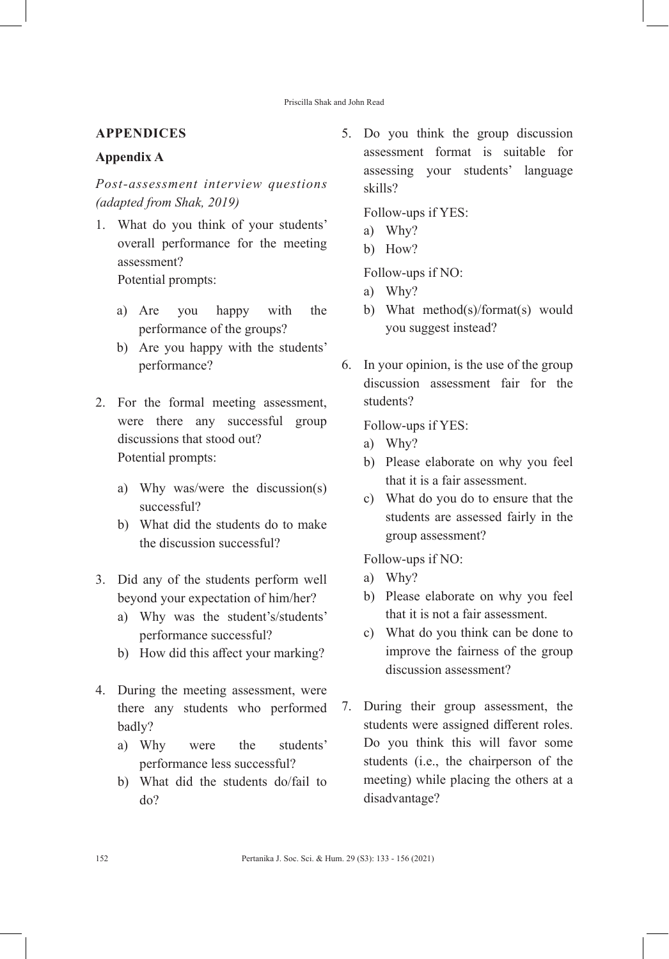# **APPENDICES**

### **Appendix A**

*Post-assessment interview questions (adapted from Shak, 2019)*

1. What do you think of your students' overall performance for the meeting assessment? Potential prompts:

a) Are you happy with the

- performance of the groups?
- b) Are you happy with the students' performance?
- 2. For the formal meeting assessment, were there any successful group discussions that stood out? Potential prompts:
	- a) Why was/were the discussion(s) successful?
	- b) What did the students do to make the discussion successful?
- 3. Did any of the students perform well beyond your expectation of him/her?
	- a) Why was the student's/students' performance successful?
	- b) How did this affect your marking?
- 4. During the meeting assessment, were there any students who performed badly?
	- a) Why were the students' performance less successful?
	- b) What did the students do/fail to do?

5. Do you think the group discussion assessment format is suitable for assessing your students' language skills?

Follow-ups if YES:

- a) Why?
- b) How?

Follow-ups if NO:

- a) Why?
- b) What method(s)/format(s) would you suggest instead?
- 6. In your opinion, is the use of the group discussion assessment fair for the students?

Follow-ups if YES:

- a) Why?
- b) Please elaborate on why you feel that it is a fair assessment.
- c) What do you do to ensure that the students are assessed fairly in the group assessment?

Follow-ups if NO:

- a) Why?
- b) Please elaborate on why you feel that it is not a fair assessment.
- c) What do you think can be done to improve the fairness of the group discussion assessment?
- 7. During their group assessment, the students were assigned different roles. Do you think this will favor some students (i.e., the chairperson of the meeting) while placing the others at a disadvantage?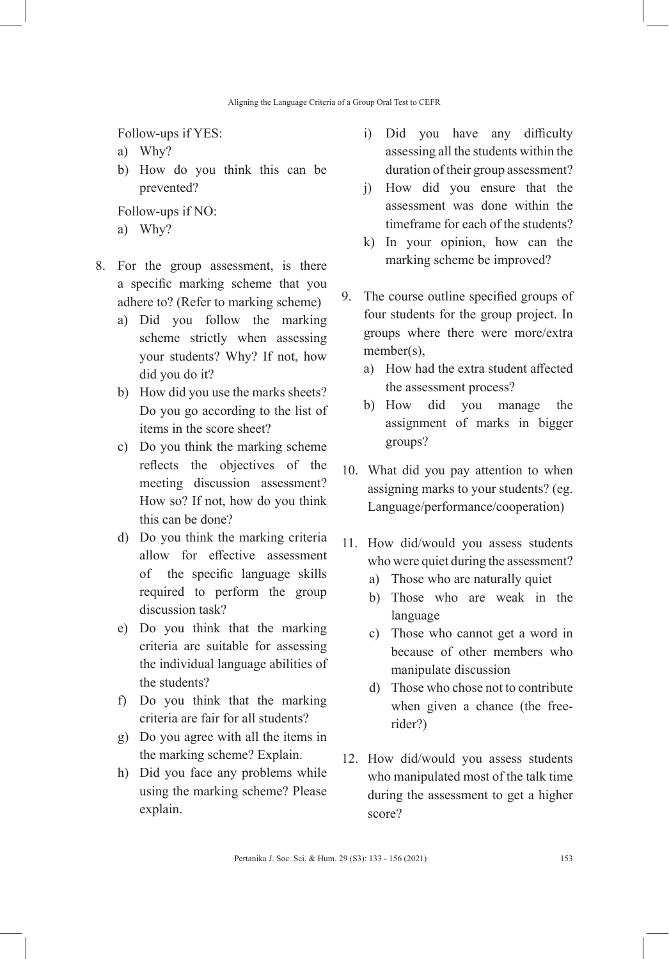Follow-ups if YES:

- a) Why?
- b) How do you think this can be prevented?

Follow-ups if NO:

- a) Why?
- 8. For the group assessment, is there a specific marking scheme that you adhere to? (Refer to marking scheme)
	- a) Did you follow the marking scheme strictly when assessing your students? Why? If not, how did you do it?
	- b) How did you use the marks sheets? Do you go according to the list of items in the score sheet?
	- c) Do you think the marking scheme reflects the objectives of the meeting discussion assessment? How so? If not, how do you think this can be done?
	- d) Do you think the marking criteria allow for effective assessment of the specific language skills required to perform the group discussion task?
	- e) Do you think that the marking criteria are suitable for assessing the individual language abilities of the students?
	- f) Do you think that the marking criteria are fair for all students?
	- g) Do you agree with all the items in the marking scheme? Explain.
	- h) Did you face any problems while using the marking scheme? Please explain.
- i) Did you have any difficulty assessing all the students within the duration of their group assessment?
- j) How did you ensure that the assessment was done within the timeframe for each of the students?
- k) In your opinion, how can the marking scheme be improved?
- 9. The course outline specified groups of four students for the group project. In groups where there were more/extra member(s),
	- a) How had the extra student affected the assessment process?
	- b) How did you manage the assignment of marks in bigger groups?
- 10. What did you pay attention to when assigning marks to your students? (eg. Language/performance/cooperation)
- 11. How did/would you assess students who were quiet during the assessment?
	- a) Those who are naturally quiet
	- b) Those who are weak in the language
	- c) Those who cannot get a word in because of other members who manipulate discussion
	- d) Those who chose not to contribute when given a chance (the freerider?)
- 12. How did/would you assess students who manipulated most of the talk time during the assessment to get a higher score?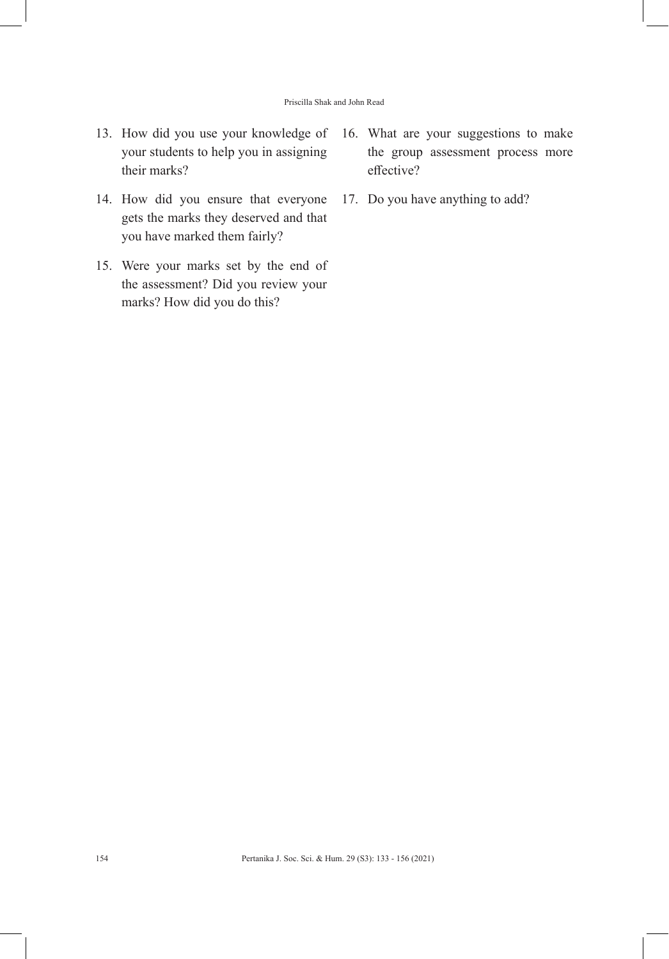- 13. How did you use your knowledge of your students to help you in assigning their marks?
- 14. How did you ensure that everyone gets the marks they deserved and that you have marked them fairly?
- 15. Were your marks set by the end of the assessment? Did you review your marks? How did you do this?
- 16. What are your suggestions to make the group assessment process more effective?
- 17. Do you have anything to add?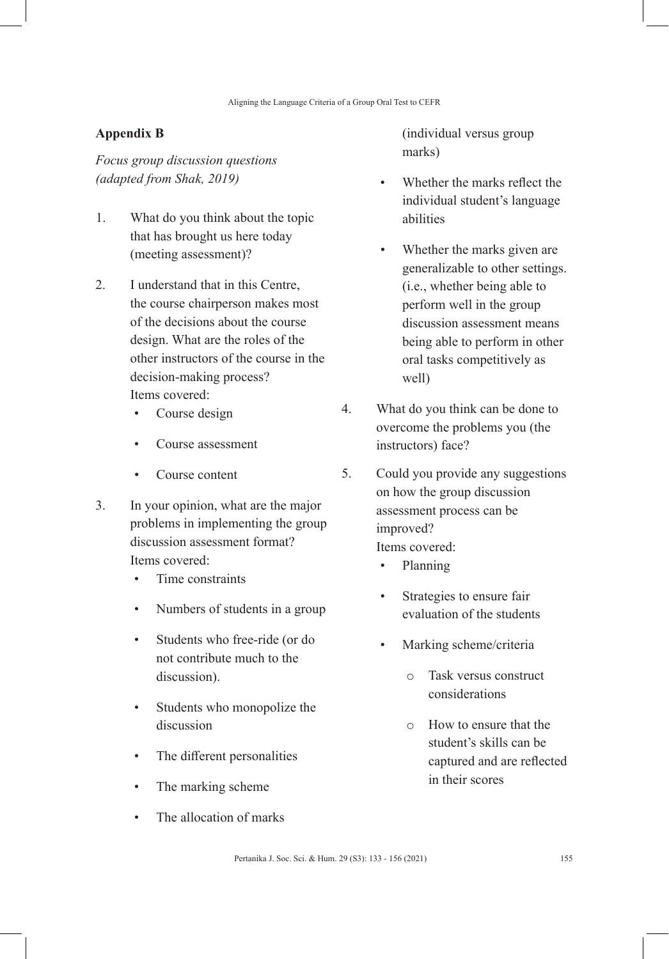# **Appendix B**

*Focus group discussion questions (adapted from Shak, 2019)*

- 1. What do you think about the topic that has brought us here today (meeting assessment)?
- 2. I understand that in this Centre, the course chairperson makes most of the decisions about the course design. What are the roles of the other instructors of the course in the decision-making process? Items covered:
	- Course design
	- Course assessment
	- Course content
- 3. In your opinion, what are the major problems in implementing the group discussion assessment format? Items covered:
	- Time constraints
	- Numbers of students in a group
	- Students who free-ride (or do not contribute much to the discussion).
	- Students who monopolize the discussion
	- The different personalities
	- The marking scheme
	- The allocation of marks

(individual versus group marks)

- Whether the marks reflect the individual student's language abilities
- Whether the marks given are generalizable to other settings. (i.e., whether being able to perform well in the group discussion assessment means being able to perform in other oral tasks competitively as well)
- 4. What do you think can be done to overcome the problems you (the instructors) face?
- 5. Could you provide any suggestions on how the group discussion assessment process can be improved? Items covered:
	- Planning
	- Strategies to ensure fair evaluation of the students
	- Marking scheme/criteria
		- o Task versus construct considerations
		- o How to ensure that the student's skills can be captured and are reflected in their scores